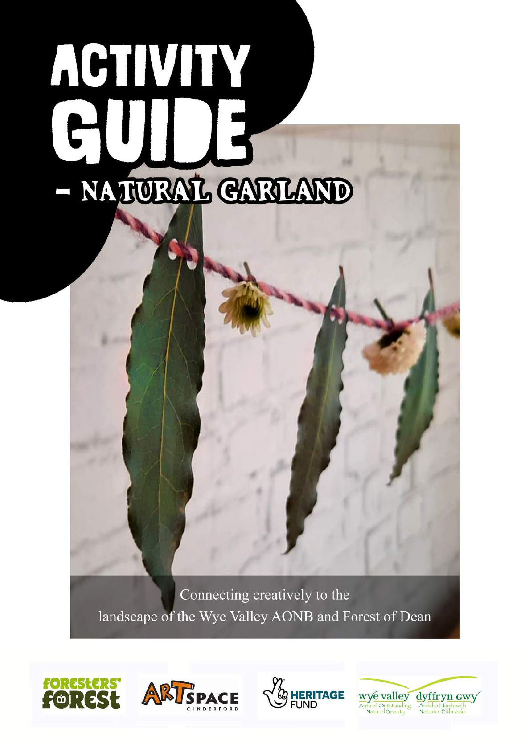# ACTIVITY  $\mathbf{f}$ NATURAL CARLAND

Connecting creatively to the landscape of the Wye Valley AONB and Forest of Dean







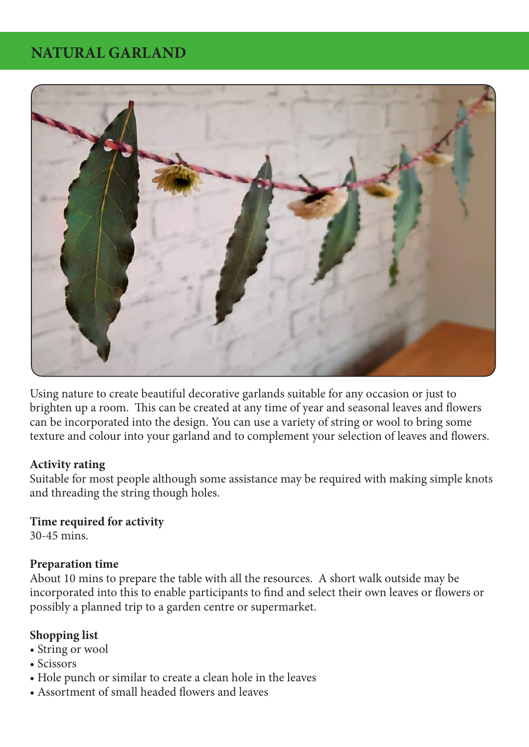# **NATURAL GARLAND**



Using nature to create beautiful decorative garlands suitable for any occasion or just to brighten up a room. This can be created at any time of year and seasonal leaves and flowers can be incorporated into the design. You can use a variety of string or wool to bring some texture and colour into your garland and to complement your selection of leaves and flowers.

#### **Activity rating**

Suitable for most people although some assistance may be required with making simple knots and threading the string though holes.

#### **Time required for activity**

30-45 mins.

#### **Preparation time**

About 10 mins to prepare the table with all the resources. A short walk outside may be incorporated into this to enable participants to find and select their own leaves or flowers or possibly a planned trip to a garden centre or supermarket.

#### **Shopping list**

- String or wool
- Scissors
- Hole punch or similar to create a clean hole in the leaves
- Assortment of small headed flowers and leaves